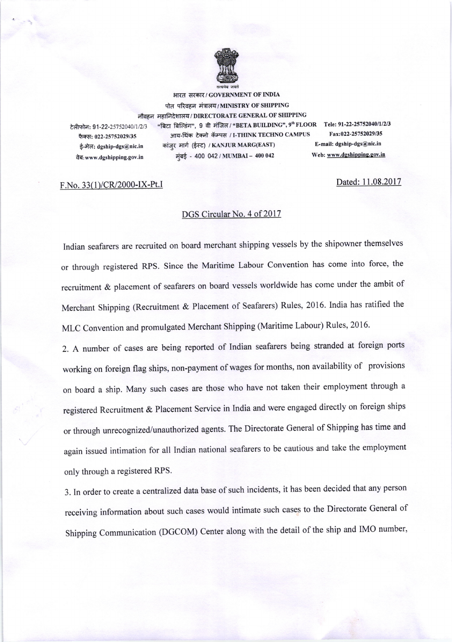

भारत सरकार/ GOVERNMENT OF INDIA पोत परिवहन मंत्रालय/MINISTRY OF SHIPPING नौवहन महानिदेशालय / DIRECTORATE GENERAL OF SHIPPING 2/25752040/1/2/3 "बिटा बिल्डिंग", 9 वी मंजिल / "BETA BUILDING", 9<sup>th</sup> FLOOR Tele: 91-22-25752040/1/2/3 و )<br>Therr, 022-25752029/35 – अग्य-थिंक टेक्नो कॅम्पम / I-THINK TECHNO CAMPUS – Fax:022-25752029/35 फैक्स: 022-25752029/35 आय-थिंक टेक्नो कॅम्पस / I-THINK TECHNO CAMPUS Fax:022-25752029/35<br>मैं पेन्न: deship-des@nis.in क्रांतर मार्ग (ईम्ट) / KANJUR MARG(EAST) E-mail: dgship-dgs@nic.in ई-मेल: dgship-dgs@nic.in कांजुर मार्ग (ईस्ट) / KANJUR MARG(EAST) E-mail: dgship-dgs@nic.in<br>विज्ञात and the Hotel of Hotel (MUMBAI – 400 042 Web: www.dgshipping.gov.in वेब:www.dgshipping.gov.in  $\vec{q}$ बई - 400 042 / MUMBAI - 400 042

## F.No. 33(1)/CR/2000-IX-Pt.I Dated: 11.08.2017

## DGS Circular No. 4 of 2017

Indian seafarers are recruited on board merchant shipping vessels by the shipowner themselves or through registered RPS. Since the Maritime Labour Convention has come into force, the recruitment & placement of seafarers on board vessels worldwide has come under the ambit of Merchant Shipping (Recruitment & Placement of Seafarers) Rules, 2016. India has ratified the MLC Convention and promulgated Merchant Shipping (Maritime Labour) Rules, 2016.

2. A number of cases are being reported of Indian seafarers being stranded at foreign ports working on foreign flag ships, non-payment of wages for months, non availability of provisions on board a ship. Many such cases are those who have not taken their employment through <sup>a</sup> registered Recruitment & placement Service in India and were engaged directly on foreign ships or through unrecognized/unauthorized agents. The Directorate General of Shipping has time and again issued intimation for all Indian national seafarers to be cautious and take the employment only through a registered RPS.

3. In order to create a centralized data base of such incidents, it has been decided that any person receiving information about such cases would intimate such cases to the Directorate General of Shipping Communication (DGCOM) Center along with the detail of the ship and IMO number,